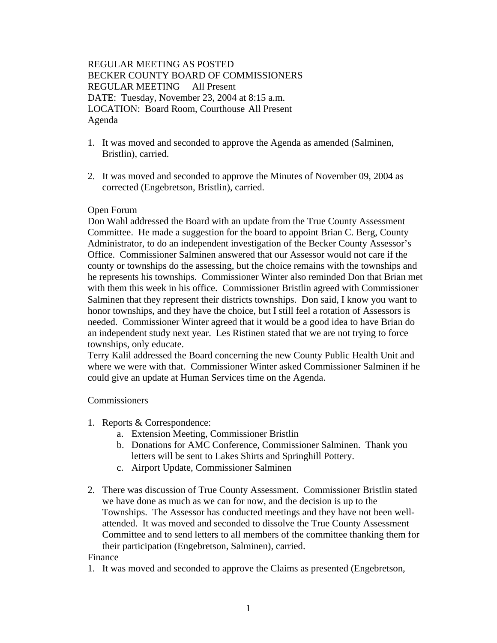# REGULAR MEETING AS POSTED BECKER COUNTY BOARD OF COMMISSIONERS REGULAR MEETING All Present DATE: Tuesday, November 23, 2004 at 8:15 a.m. LOCATION: Board Room, Courthouse All Present Agenda

- 1. It was moved and seconded to approve the Agenda as amended (Salminen, Bristlin), carried.
- 2. It was moved and seconded to approve the Minutes of November 09, 2004 as corrected (Engebretson, Bristlin), carried.

# Open Forum

Don Wahl addressed the Board with an update from the True County Assessment Committee. He made a suggestion for the board to appoint Brian C. Berg, County Administrator, to do an independent investigation of the Becker County Assessor's Office. Commissioner Salminen answered that our Assessor would not care if the county or townships do the assessing, but the choice remains with the townships and he represents his townships. Commissioner Winter also reminded Don that Brian met with them this week in his office. Commissioner Bristlin agreed with Commissioner Salminen that they represent their districts townships. Don said, I know you want to honor townships, and they have the choice, but I still feel a rotation of Assessors is needed. Commissioner Winter agreed that it would be a good idea to have Brian do an independent study next year. Les Ristinen stated that we are not trying to force townships, only educate.

Terry Kalil addressed the Board concerning the new County Public Health Unit and where we were with that. Commissioner Winter asked Commissioner Salminen if he could give an update at Human Services time on the Agenda.

# Commissioners

- 1. Reports & Correspondence:
	- a. Extension Meeting, Commissioner Bristlin
	- b. Donations for AMC Conference, Commissioner Salminen. Thank you letters will be sent to Lakes Shirts and Springhill Pottery.
	- c. Airport Update, Commissioner Salminen
- 2. There was discussion of True County Assessment. Commissioner Bristlin stated we have done as much as we can for now, and the decision is up to the Townships. The Assessor has conducted meetings and they have not been wellattended. It was moved and seconded to dissolve the True County Assessment Committee and to send letters to all members of the committee thanking them for their participation (Engebretson, Salminen), carried.

# Finance

1. It was moved and seconded to approve the Claims as presented (Engebretson,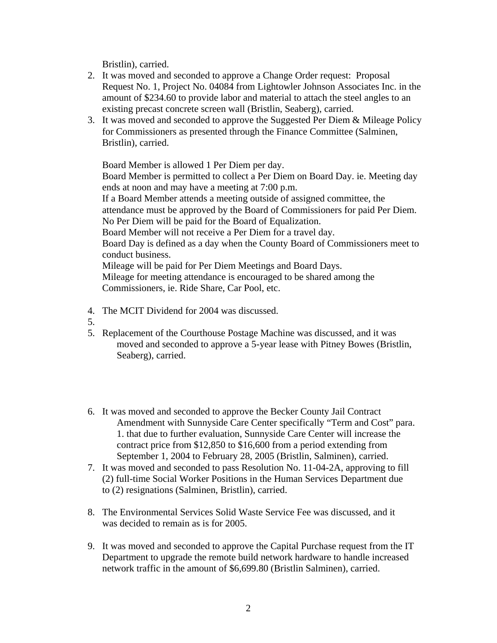Bristlin), carried.

- 2. It was moved and seconded to approve a Change Order request: Proposal Request No. 1, Project No. 04084 from Lightowler Johnson Associates Inc. in the amount of \$234.60 to provide labor and material to attach the steel angles to an existing precast concrete screen wall (Bristlin, Seaberg), carried.
- 3. It was moved and seconded to approve the Suggested Per Diem & Mileage Policy for Commissioners as presented through the Finance Committee (Salminen, Bristlin), carried.

Board Member is allowed 1 Per Diem per day.

Board Member is permitted to collect a Per Diem on Board Day. ie. Meeting day ends at noon and may have a meeting at 7:00 p.m.

If a Board Member attends a meeting outside of assigned committee, the attendance must be approved by the Board of Commissioners for paid Per Diem. No Per Diem will be paid for the Board of Equalization.

Board Member will not receive a Per Diem for a travel day.

Board Day is defined as a day when the County Board of Commissioners meet to conduct business.

Mileage will be paid for Per Diem Meetings and Board Days. Mileage for meeting attendance is encouraged to be shared among the Commissioners, ie. Ride Share, Car Pool, etc.

- 4. The MCIT Dividend for 2004 was discussed.
- 5.
- 5. Replacement of the Courthouse Postage Machine was discussed, and it was moved and seconded to approve a 5-year lease with Pitney Bowes (Bristlin, Seaberg), carried.
- 6. It was moved and seconded to approve the Becker County Jail Contract Amendment with Sunnyside Care Center specifically "Term and Cost" para. 1. that due to further evaluation, Sunnyside Care Center will increase the contract price from \$12,850 to \$16,600 from a period extending from September 1, 2004 to February 28, 2005 (Bristlin, Salminen), carried.
- 7. It was moved and seconded to pass Resolution No. 11-04-2A, approving to fill (2) full-time Social Worker Positions in the Human Services Department due to (2) resignations (Salminen, Bristlin), carried.
- 8. The Environmental Services Solid Waste Service Fee was discussed, and it was decided to remain as is for 2005.
- 9. It was moved and seconded to approve the Capital Purchase request from the IT Department to upgrade the remote build network hardware to handle increased network traffic in the amount of \$6,699.80 (Bristlin Salminen), carried.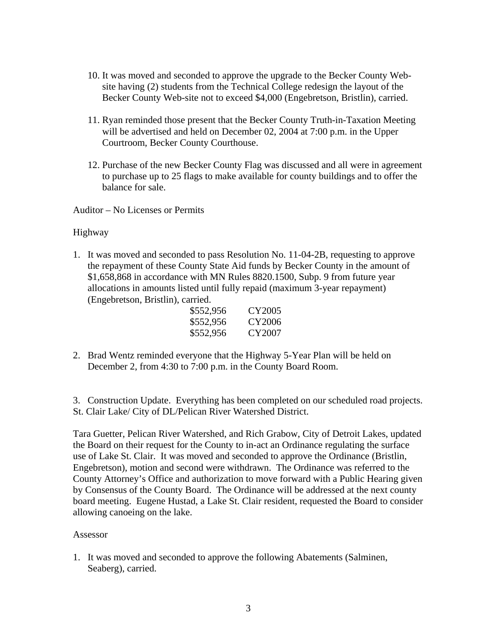- 10. It was moved and seconded to approve the upgrade to the Becker County Website having (2) students from the Technical College redesign the layout of the Becker County Web-site not to exceed \$4,000 (Engebretson, Bristlin), carried.
- 11. Ryan reminded those present that the Becker County Truth-in-Taxation Meeting will be advertised and held on December 02, 2004 at 7:00 p.m. in the Upper Courtroom, Becker County Courthouse.
- 12. Purchase of the new Becker County Flag was discussed and all were in agreement to purchase up to 25 flags to make available for county buildings and to offer the balance for sale.

Auditor – No Licenses or Permits

# Highway

1. It was moved and seconded to pass Resolution No. 11-04-2B, requesting to approve the repayment of these County State Aid funds by Becker County in the amount of \$1,658,868 in accordance with MN Rules 8820.1500, Subp. 9 from future year allocations in amounts listed until fully repaid (maximum 3-year repayment) (Engebretson, Bristlin), carried.

| \$552,956 | CY2005 |
|-----------|--------|
| \$552,956 | CY2006 |
| \$552,956 | CY2007 |

2. Brad Wentz reminded everyone that the Highway 5-Year Plan will be held on December 2, from 4:30 to 7:00 p.m. in the County Board Room.

3. Construction Update. Everything has been completed on our scheduled road projects. St. Clair Lake/ City of DL/Pelican River Watershed District.

Tara Guetter, Pelican River Watershed, and Rich Grabow, City of Detroit Lakes, updated the Board on their request for the County to in-act an Ordinance regulating the surface use of Lake St. Clair. It was moved and seconded to approve the Ordinance (Bristlin, Engebretson), motion and second were withdrawn. The Ordinance was referred to the County Attorney's Office and authorization to move forward with a Public Hearing given by Consensus of the County Board. The Ordinance will be addressed at the next county board meeting. Eugene Hustad, a Lake St. Clair resident, requested the Board to consider allowing canoeing on the lake.

# Assessor

1. It was moved and seconded to approve the following Abatements (Salminen, Seaberg), carried.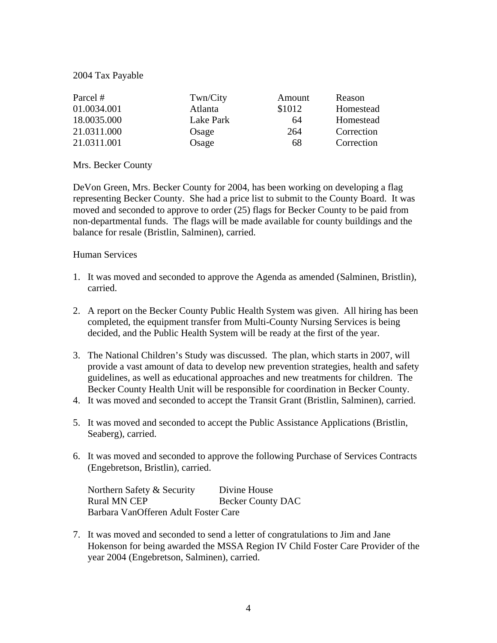# 2004 Tax Payable

| Parcel #    | Twn/City  | Amount | Reason     |
|-------------|-----------|--------|------------|
| 01.0034.001 | Atlanta   | \$1012 | Homestead  |
| 18.0035.000 | Lake Park | 64     | Homestead  |
| 21.0311.000 | Osage     | 264    | Correction |
| 21.0311.001 | Osage     | 68     | Correction |

# Mrs. Becker County

DeVon Green, Mrs. Becker County for 2004, has been working on developing a flag representing Becker County. She had a price list to submit to the County Board. It was moved and seconded to approve to order (25) flags for Becker County to be paid from non-departmental funds. The flags will be made available for county buildings and the balance for resale (Bristlin, Salminen), carried.

# Human Services

- 1. It was moved and seconded to approve the Agenda as amended (Salminen, Bristlin), carried.
- 2. A report on the Becker County Public Health System was given. All hiring has been completed, the equipment transfer from Multi-County Nursing Services is being decided, and the Public Health System will be ready at the first of the year.
- 3. The National Children's Study was discussed. The plan, which starts in 2007, will provide a vast amount of data to develop new prevention strategies, health and safety guidelines, as well as educational approaches and new treatments for children. The Becker County Health Unit will be responsible for coordination in Becker County.
- 4. It was moved and seconded to accept the Transit Grant (Bristlin, Salminen), carried.
- 5. It was moved and seconded to accept the Public Assistance Applications (Bristlin, Seaberg), carried.
- 6. It was moved and seconded to approve the following Purchase of Services Contracts (Engebretson, Bristlin), carried.

Northern Safety & Security Divine House Rural MN CEP Becker County DAC Barbara VanOfferen Adult Foster Care

7. It was moved and seconded to send a letter of congratulations to Jim and Jane Hokenson for being awarded the MSSA Region IV Child Foster Care Provider of the year 2004 (Engebretson, Salminen), carried.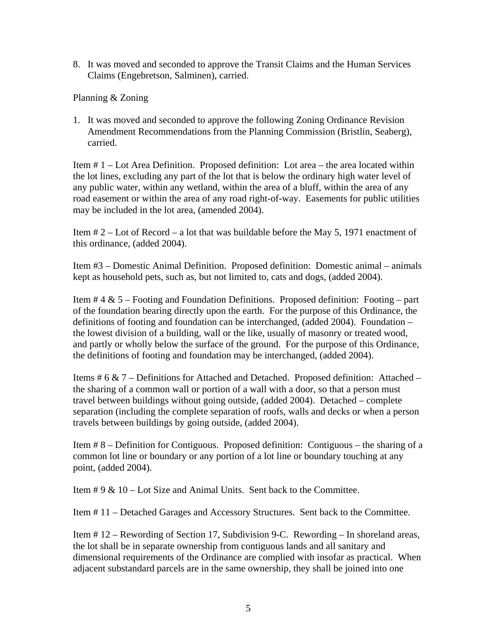8. It was moved and seconded to approve the Transit Claims and the Human Services Claims (Engebretson, Salminen), carried.

Planning & Zoning

1. It was moved and seconded to approve the following Zoning Ordinance Revision Amendment Recommendations from the Planning Commission (Bristlin, Seaberg), carried.

Item # 1 – Lot Area Definition. Proposed definition: Lot area – the area located within the lot lines, excluding any part of the lot that is below the ordinary high water level of any public water, within any wetland, within the area of a bluff, within the area of any road easement or within the area of any road right-of-way. Easements for public utilities may be included in the lot area, (amended 2004).

Item # 2 – Lot of Record – a lot that was buildable before the May 5, 1971 enactment of this ordinance, (added 2004).

Item #3 – Domestic Animal Definition. Proposed definition: Domestic animal – animals kept as household pets, such as, but not limited to, cats and dogs, (added 2004).

Item  $# 4 \& 5$  – Footing and Foundation Definitions. Proposed definition: Footing – part of the foundation bearing directly upon the earth. For the purpose of this Ordinance, the definitions of footing and foundation can be interchanged, (added 2004). Foundation – the lowest division of a building, wall or the like, usually of masonry or treated wood, and partly or wholly below the surface of the ground. For the purpose of this Ordinance, the definitions of footing and foundation may be interchanged, (added 2004).

Items # 6 & 7 – Definitions for Attached and Detached. Proposed definition: Attached – the sharing of a common wall or portion of a wall with a door, so that a person must travel between buildings without going outside, (added 2004). Detached – complete separation (including the complete separation of roofs, walls and decks or when a person travels between buildings by going outside, (added 2004).

Item # 8 – Definition for Contiguous. Proposed definition: Contiguous – the sharing of a common lot line or boundary or any portion of a lot line or boundary touching at any point, (added 2004).

Item  $\# 9 \& 10$  – Lot Size and Animal Units. Sent back to the Committee.

Item # 11 – Detached Garages and Accessory Structures. Sent back to the Committee.

Item # 12 – Rewording of Section 17, Subdivision 9-C. Rewording – In shoreland areas, the lot shall be in separate ownership from contiguous lands and all sanitary and dimensional requirements of the Ordinance are complied with insofar as practical. When adjacent substandard parcels are in the same ownership, they shall be joined into one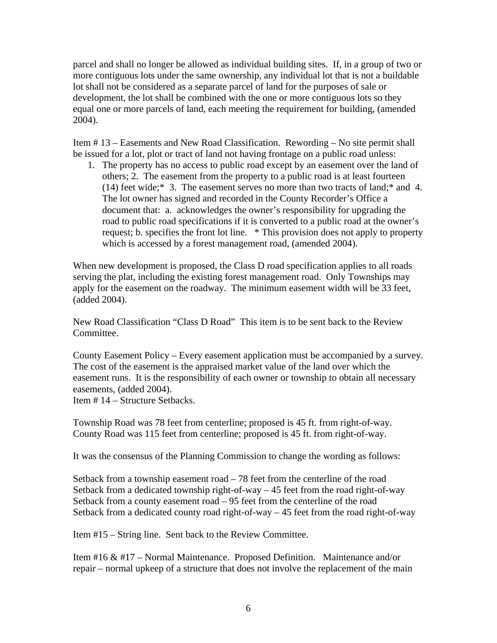parcel and shall no longer be allowed as individual building sites. If, in a group of two or more contiguous lots under the same ownership, any individual lot that is not a buildable lot shall not be considered as a separate parcel of land for the purposes of sale or development, the lot shall be combined with the one or more contiguous lots so they equal one or more parcels of land, each meeting the requirement for building, (amended 2004).

Item # 13 – Easements and New Road Classification. Rewording – No site permit shall be issued for a lot, plot or tract of land not having frontage on a public road unless:

1. The property has no access to public road except by an easement over the land of others; 2. The easement from the property to a public road is at least fourteen (14) feet wide;\* 3. The easement serves no more than two tracts of land;\* and 4. The lot owner has signed and recorded in the County Recorder's Office a document that: a. acknowledges the owner's responsibility for upgrading the road to public road specifications if it is converted to a public road at the owner's request; b. specifies the front lot line. \* This provision does not apply to property which is accessed by a forest management road, (amended 2004).

When new development is proposed, the Class D road specification applies to all roads serving the plat, including the existing forest management road. Only Townships may apply for the easement on the roadway. The minimum easement width will be 33 feet, (added 2004).

New Road Classification "Class D Road" This item is to be sent back to the Review Committee.

County Easement Policy – Every easement application must be accompanied by a survey. The cost of the easement is the appraised market value of the land over which the easement runs. It is the responsibility of each owner or township to obtain all necessary easements, (added 2004).

Item # 14 – Structure Setbacks.

Township Road was 78 feet from centerline; proposed is 45 ft. from right-of-way. County Road was 115 feet from centerline; proposed is 45 ft. from right-of-way.

It was the consensus of the Planning Commission to change the wording as follows:

Setback from a township easement road – 78 feet from the centerline of the road Setback from a dedicated township right-of-way – 45 feet from the road right-of-way Setback from a county easement road – 95 feet from the centerline of the road Setback from a dedicated county road right-of-way – 45 feet from the road right-of-way

Item #15 – String line. Sent back to the Review Committee.

Item #16 & #17 – Normal Maintenance. Proposed Definition. Maintenance and/or repair – normal upkeep of a structure that does not involve the replacement of the main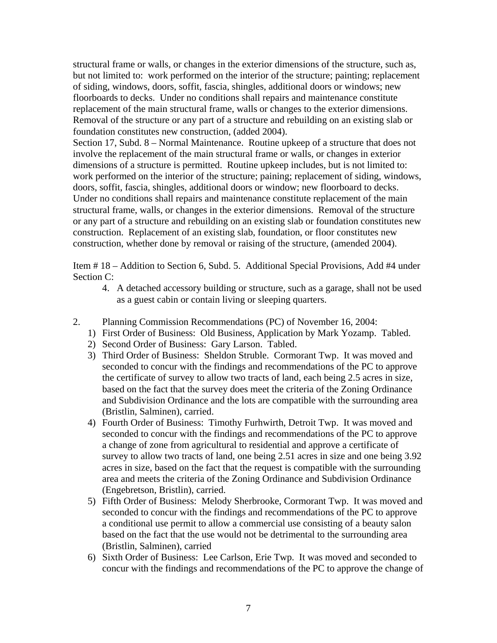structural frame or walls, or changes in the exterior dimensions of the structure, such as, but not limited to: work performed on the interior of the structure; painting; replacement of siding, windows, doors, soffit, fascia, shingles, additional doors or windows; new floorboards to decks. Under no conditions shall repairs and maintenance constitute replacement of the main structural frame, walls or changes to the exterior dimensions. Removal of the structure or any part of a structure and rebuilding on an existing slab or foundation constitutes new construction, (added 2004).

Section 17, Subd. 8 – Normal Maintenance. Routine upkeep of a structure that does not involve the replacement of the main structural frame or walls, or changes in exterior dimensions of a structure is permitted. Routine upkeep includes, but is not limited to: work performed on the interior of the structure; paining; replacement of siding, windows, doors, soffit, fascia, shingles, additional doors or window; new floorboard to decks. Under no conditions shall repairs and maintenance constitute replacement of the main structural frame, walls, or changes in the exterior dimensions. Removal of the structure or any part of a structure and rebuilding on an existing slab or foundation constitutes new construction. Replacement of an existing slab, foundation, or floor constitutes new construction, whether done by removal or raising of the structure, (amended 2004).

Item # 18 – Addition to Section 6, Subd. 5. Additional Special Provisions, Add #4 under Section C:

- 4. A detached accessory building or structure, such as a garage, shall not be used as a guest cabin or contain living or sleeping quarters.
- 2. Planning Commission Recommendations (PC) of November 16, 2004:
	- 1) First Order of Business: Old Business, Application by Mark Yozamp. Tabled.
	- 2) Second Order of Business: Gary Larson. Tabled.
	- 3) Third Order of Business: Sheldon Struble. Cormorant Twp. It was moved and seconded to concur with the findings and recommendations of the PC to approve the certificate of survey to allow two tracts of land, each being 2.5 acres in size, based on the fact that the survey does meet the criteria of the Zoning Ordinance and Subdivision Ordinance and the lots are compatible with the surrounding area (Bristlin, Salminen), carried.
	- 4) Fourth Order of Business: Timothy Furhwirth, Detroit Twp. It was moved and seconded to concur with the findings and recommendations of the PC to approve a change of zone from agricultural to residential and approve a certificate of survey to allow two tracts of land, one being 2.51 acres in size and one being 3.92 acres in size, based on the fact that the request is compatible with the surrounding area and meets the criteria of the Zoning Ordinance and Subdivision Ordinance (Engebretson, Bristlin), carried.
	- 5) Fifth Order of Business: Melody Sherbrooke, Cormorant Twp. It was moved and seconded to concur with the findings and recommendations of the PC to approve a conditional use permit to allow a commercial use consisting of a beauty salon based on the fact that the use would not be detrimental to the surrounding area (Bristlin, Salminen), carried
	- 6) Sixth Order of Business: Lee Carlson, Erie Twp. It was moved and seconded to concur with the findings and recommendations of the PC to approve the change of